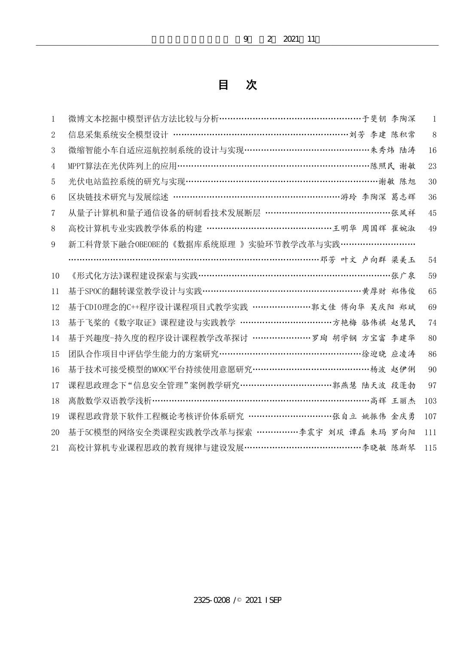|                | 2021<br>2<br>9<br>-11                                |              |
|----------------|------------------------------------------------------|--------------|
|                |                                                      |              |
|                | 次<br>目                                               |              |
|                |                                                      |              |
| $\mathbf{1}$   | 微博文本挖掘中模型评估方法比较与分析……………………………………………………于斐钥 李陶深        | $\mathbf{1}$ |
| $\overline{2}$ | 信息采集系统安全模型设计 ………………………………………………………………刘芳 李建 陈积常       | 8            |
| 3              | 微缩智能小车自适应巡航控制系统的设计与实现 …………………………………………………………… 朱秀炜 陆涛 | 16           |
| 4              | MPPT算法在光伏阵列上的应用………………………………………………………………………………………<br> | 23           |
| 5              | 光伏电站监控系统的研究与实现……………………………………………………………………谢敏 陈旭        | 30           |
| 6              |                                                      | 36           |
| 7              | 从量子计算机和量子通信设备的研制看技术发展断层 …………………………………………张凤祥          | 45           |
| 8              | 高校计算机专业实践教学体系的构建 …………………………………………王明华 周国辉 崔婉淑         | 49           |
| 9              | 新工科背景下融合OBEOBE的《数据库系统原理 》实验环节教学改革与实践 ………………………       |              |
|                | ………………………………………………………………………邓芳 叶文 卢向群 梁美玉             | 54           |
| 10             | 《形式化方法》课程建设探索与实践………………………………………………………………张广泉          | 59           |
| 11             | 基于SPOC的翻转课堂教学设计与实践 ……………………………………………………… 黄厚财 郑伟俊     | 65           |
| 12             | 基于CDI0理念的C++程序设计课程项目式教学实践 …………………郭文佳 傅向华 吴庆阳 郑斌      | 69           |
| 13             | 基于飞桨的《数字取证》课程建设与实践教学 ……………………………………方艳梅 骆伟祺 赵慧民       | 74           |
| 14             | 基于兴趣度-持久度的程序设计课程教学改革探讨 ……………………罗珣 胡学钢 方宝富 李建华        | 80           |
| 15             | 团队合作项目中评估学生能力的方案研究 …………………………………………………………徐迎晓 应凌涛     | 86           |
| 16             | 基于技术可接受模型的MOOC平台持续使用意愿研究 ……………………………………………… 杨波 赵伊俐   | 90           |
| 17             | 课程思政理念下"信息安全管理"案例教学研究 ………………………………郭燕慧 陆天波 段蓬勃        | 97           |
| 18             | 离散数学双语教学浅析…………………………………………………………………高辉 王丽杰            | 103          |
| 19             | 课程思政背景下软件工程概论考核评价体系研究 ……………………………张自立 姚振伟 金庆勇         | 107          |
| 20             | 基于50模型的网络安全类课程实践教学改革与探索 ……………李震宇 刘琰 谭磊 朱玛 罗向阳        | 111          |
| 21             | 高校计算机专业课程思政的教育规律与建设发展 ……………………………………… 李晓敏 陈斯琴 115    |              |
|                |                                                      |              |
|                |                                                      |              |
|                |                                                      |              |
|                |                                                      |              |
|                |                                                      |              |
|                |                                                      |              |
|                |                                                      |              |
|                |                                                      |              |
|                |                                                      |              |
|                | 2325-0208 / 2021 ISEP                                |              |